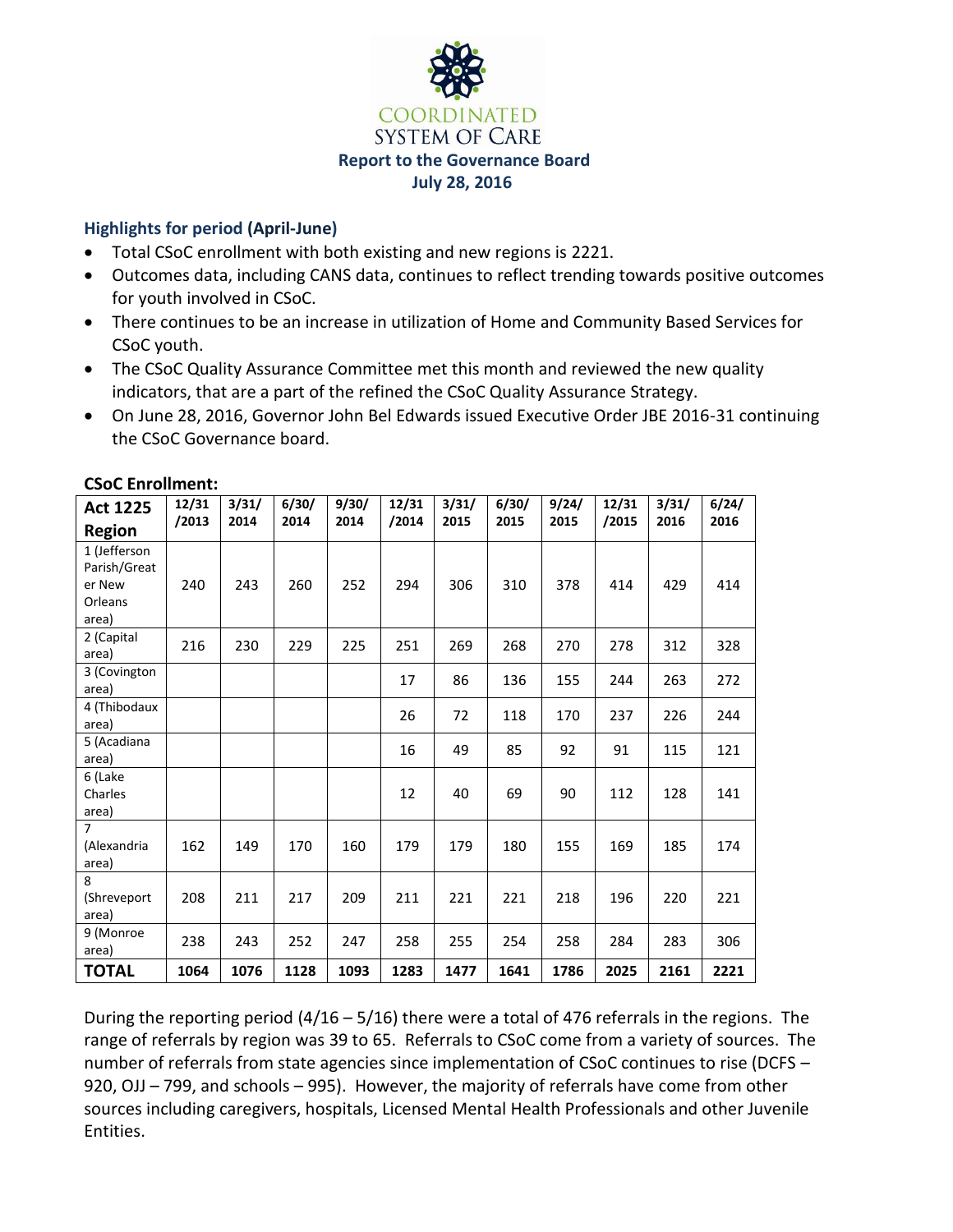

## **Highlights for period (April-June)**

- Total CSoC enrollment with both existing and new regions is 2221.
- Outcomes data, including CANS data, continues to reflect trending towards positive outcomes for youth involved in CSoC.
- There continues to be an increase in utilization of Home and Community Based Services for CSoC youth.
- The CSoC Quality Assurance Committee met this month and reviewed the new quality indicators, that are a part of the refined the CSoC Quality Assurance Strategy.
- On June 28, 2016, Governor John Bel Edwards issued Executive Order JBE 2016-31 continuing the CSoC Governance board.

| <b>Act 1225</b><br><b>Region</b>                           | 12/31<br>/2013 | 3/31/<br>2014 | 6/30/<br>2014 | 9/30/<br>2014 | 12/31<br>/2014 | 3/31/<br>2015 | 6/30/<br>2015 | 9/24/<br>2015 | 12/31<br>/2015 | 3/31/<br>2016 | 6/24/<br>2016 |
|------------------------------------------------------------|----------------|---------------|---------------|---------------|----------------|---------------|---------------|---------------|----------------|---------------|---------------|
| 1 (Jefferson<br>Parish/Great<br>er New<br>Orleans<br>area) | 240            | 243           | 260           | 252           | 294            | 306           | 310           | 378           | 414            | 429           | 414           |
| 2 (Capital<br>area)                                        | 216            | 230           | 229           | 225           | 251            | 269           | 268           | 270           | 278            | 312           | 328           |
| 3 (Covington<br>area)                                      |                |               |               |               | 17             | 86            | 136           | 155           | 244            | 263           | 272           |
| 4 (Thibodaux<br>area)                                      |                |               |               |               | 26             | 72            | 118           | 170           | 237            | 226           | 244           |
| 5 (Acadiana<br>area)                                       |                |               |               |               | 16             | 49            | 85            | 92            | 91             | 115           | 121           |
| 6 (Lake<br>Charles<br>area)                                |                |               |               |               | 12             | 40            | 69            | 90            | 112            | 128           | 141           |
| $\overline{7}$<br>(Alexandria<br>area)                     | 162            | 149           | 170           | 160           | 179            | 179           | 180           | 155           | 169            | 185           | 174           |
| 8<br>(Shreveport<br>area)                                  | 208            | 211           | 217           | 209           | 211            | 221           | 221           | 218           | 196            | 220           | 221           |
| 9 (Monroe<br>area)                                         | 238            | 243           | 252           | 247           | 258            | 255           | 254           | 258           | 284            | 283           | 306           |
| <b>TOTAL</b>                                               | 1064           | 1076          | 1128          | 1093          | 1283           | 1477          | 1641          | 1786          | 2025           | 2161          | 2221          |

### **CSoC Enrollment:**

During the reporting period (4/16 – 5/16) there were a total of 476 referrals in the regions. The range of referrals by region was 39 to 65. Referrals to CSoC come from a variety of sources. The number of referrals from state agencies since implementation of CSoC continues to rise (DCFS – 920, OJJ – 799, and schools – 995). However, the majority of referrals have come from other sources including caregivers, hospitals, Licensed Mental Health Professionals and other Juvenile Entities.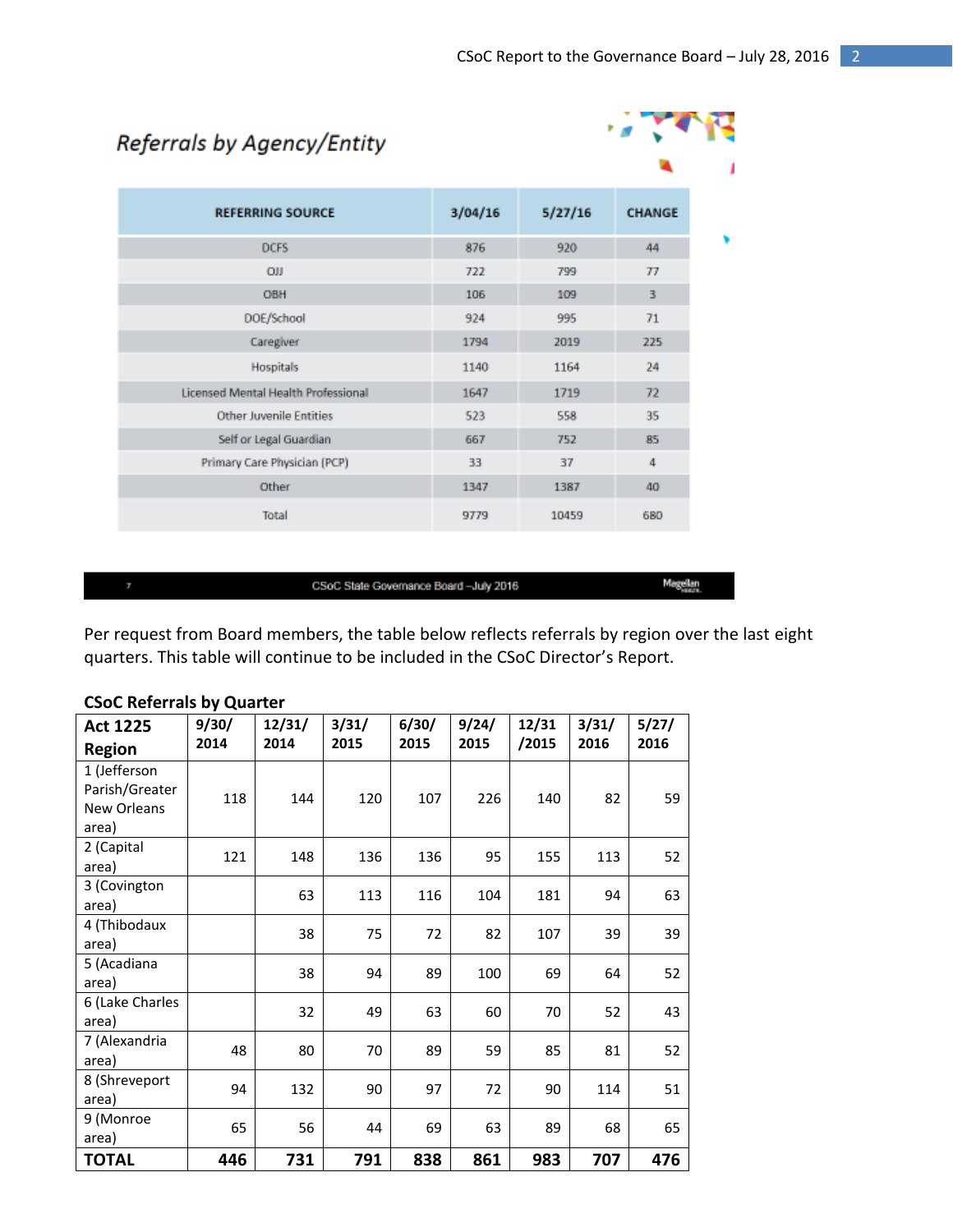| Referrals by Agency/Entity                 |         |         |                |  |  |
|--------------------------------------------|---------|---------|----------------|--|--|
|                                            |         |         |                |  |  |
| <b>REFERRING SOURCE</b>                    | 3/04/16 | 5/27/16 | <b>CHANGE</b>  |  |  |
| <b>DCFS</b>                                | 876     | 920     | 44             |  |  |
| <b>OII</b>                                 | 722     | 799     | T <sub>1</sub> |  |  |
| <b>OBH</b>                                 | 106     | 109     | 3              |  |  |
| DOE/School                                 | 924     | 995     | 71             |  |  |
| Caregiver                                  | 1794    | 2019    | 225            |  |  |
| <b>Hospitals</b>                           | 1140    | 1164    | 24             |  |  |
| <b>Licensed Mental Health Professional</b> | 1647    | 1719    | 72             |  |  |
| <b>Other Juvenile Entities</b>             | 523     | 558     | 35             |  |  |
| Self or Legal Guardian                     | 667     | 752     | 85             |  |  |
| Primary Care Physician (PCP)               | 33      | 37      | 4              |  |  |
| Other                                      | 1347    | 1387    | 40             |  |  |
| Total                                      | 9779    | 10459   | 680            |  |  |

#### CSoC State Governance Board-July 2016

Magellan

Per request from Board members, the table below reflects referrals by region over the last eight quarters. This table will continue to be included in the CSoC Director's Report.

#### **Act 1225 Region 9/30/ 2014 12/31/ 2014 3/31/ 2015 6/30/ 2015 9/24/ 2015 12/31 /2015 3/31/ 2016 5/27/ 2016** 1 (Jefferson Parish/Greater New Orleans area) 118 | 144 | 120 | 107 | 226 | 140 | 82 | 59 2 (Capital 2 (capital 121 | 148 | 136 | 136 | 155 | 113 | 52<br>area) 3 (Covington area) <sup>63</sup> <sup>113</sup> <sup>116</sup> <sup>104</sup> <sup>181</sup> <sup>94</sup> <sup>63</sup> 4 (Thibodaux area) <sup>38</sup> <sup>75</sup> <sup>72</sup> <sup>82</sup> <sup>107</sup> <sup>39</sup> <sup>39</sup> 5 (Acadiana area) <sup>38</sup> <sup>94</sup> <sup>89</sup> <sup>100</sup> <sup>69</sup> <sup>64</sup> <sup>52</sup> 6 (Lake Charles area)  $32 | 49 | 63 | 60 | 70 | 52 | 43$ 7 (Alexandria 2 (Alexandria | 48 | 80 | 70 | 89 | 59 | 85 | 81 | 52 8 (Shreveport area) 94 132 90 97 72 90 114 51 9 (Monroe area) 65 56 44 69 63 89 68 65 **TOTAL 446 731 791 838 861 983 707 476**

#### **CSoC Referrals by Quarter**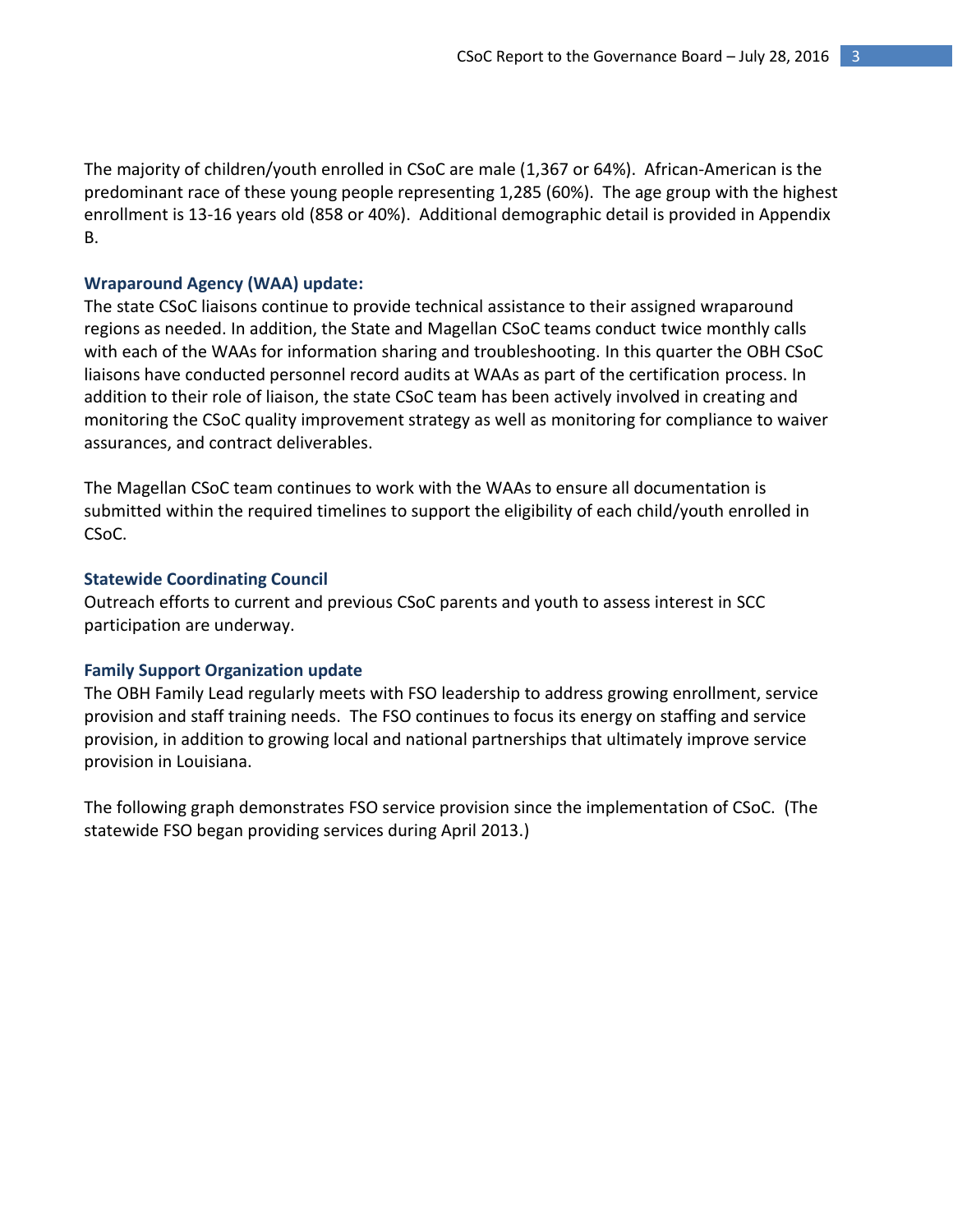The majority of children/youth enrolled in CSoC are male (1,367 or 64%). African-American is the predominant race of these young people representing 1,285 (60%). The age group with the highest enrollment is 13-16 years old (858 or 40%). Additional demographic detail is provided in Appendix B.

#### **Wraparound Agency (WAA) update:**

The state CSoC liaisons continue to provide technical assistance to their assigned wraparound regions as needed. In addition, the State and Magellan CSoC teams conduct twice monthly calls with each of the WAAs for information sharing and troubleshooting. In this quarter the OBH CSoC liaisons have conducted personnel record audits at WAAs as part of the certification process. In addition to their role of liaison, the state CSoC team has been actively involved in creating and monitoring the CSoC quality improvement strategy as well as monitoring for compliance to waiver assurances, and contract deliverables.

The Magellan CSoC team continues to work with the WAAs to ensure all documentation is submitted within the required timelines to support the eligibility of each child/youth enrolled in CSoC.

#### **Statewide Coordinating Council**

Outreach efforts to current and previous CSoC parents and youth to assess interest in SCC participation are underway.

#### **Family Support Organization update**

The OBH Family Lead regularly meets with FSO leadership to address growing enrollment, service provision and staff training needs. The FSO continues to focus its energy on staffing and service provision, in addition to growing local and national partnerships that ultimately improve service provision in Louisiana.

The following graph demonstrates FSO service provision since the implementation of CSoC. (The statewide FSO began providing services during April 2013.)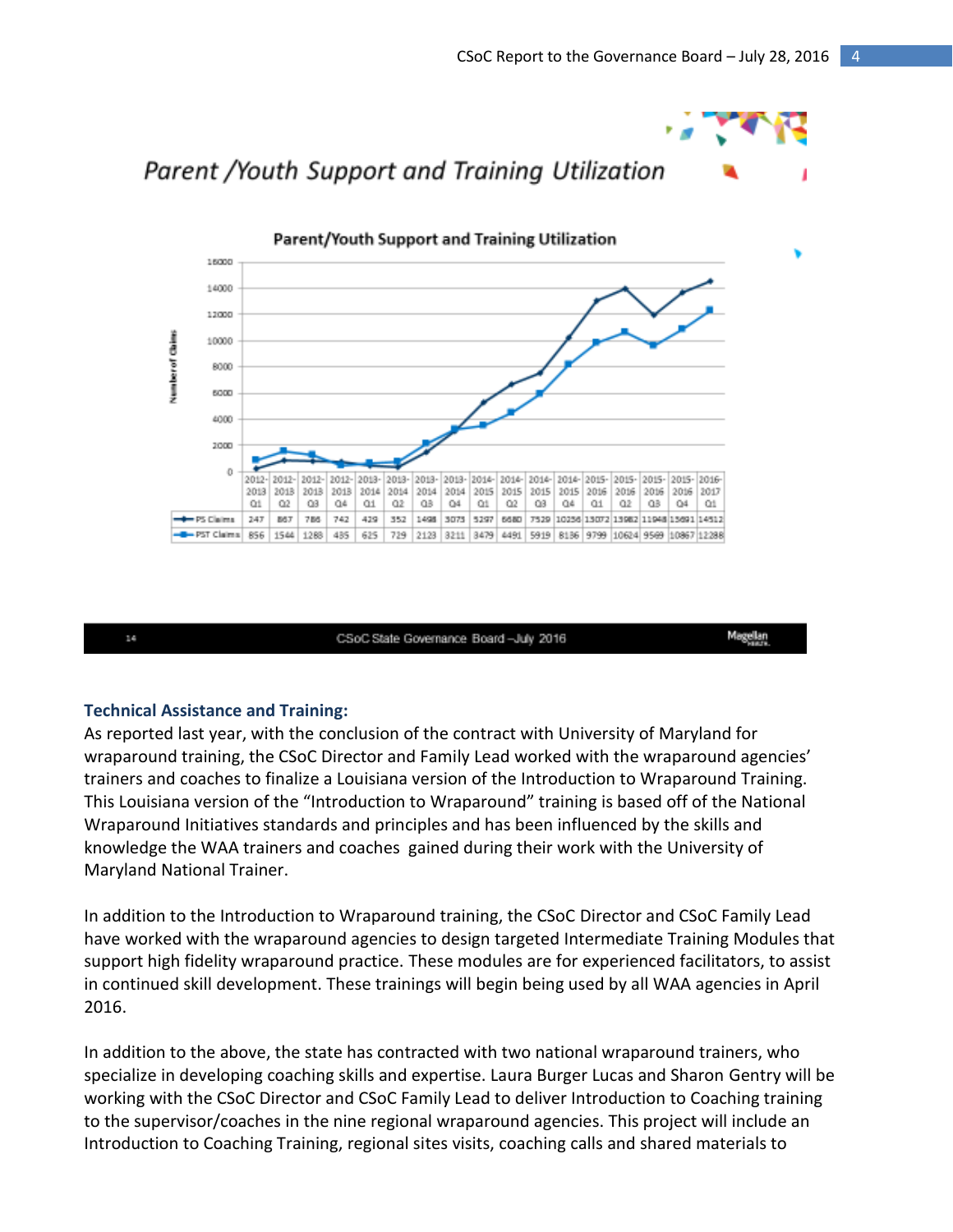Magellan



#### **Technical Assistance and Training:**

14

As reported last year, with the conclusion of the contract with University of Maryland for wraparound training, the CSoC Director and Family Lead worked with the wraparound agencies' trainers and coaches to finalize a Louisiana version of the Introduction to Wraparound Training. This Louisiana version of the "Introduction to Wraparound" training is based off of the National Wraparound Initiatives standards and principles and has been influenced by the skills and knowledge the WAA trainers and coaches gained during their work with the University of Maryland National Trainer.

CSoC State Governance Board-July 2016

In addition to the Introduction to Wraparound training, the CSoC Director and CSoC Family Lead have worked with the wraparound agencies to design targeted Intermediate Training Modules that support high fidelity wraparound practice. These modules are for experienced facilitators, to assist in continued skill development. These trainings will begin being used by all WAA agencies in April 2016.

In addition to the above, the state has contracted with two national wraparound trainers, who specialize in developing coaching skills and expertise. Laura Burger Lucas and Sharon Gentry will be working with the CSoC Director and CSoC Family Lead to deliver Introduction to Coaching training to the supervisor/coaches in the nine regional wraparound agencies. This project will include an Introduction to Coaching Training, regional sites visits, coaching calls and shared materials to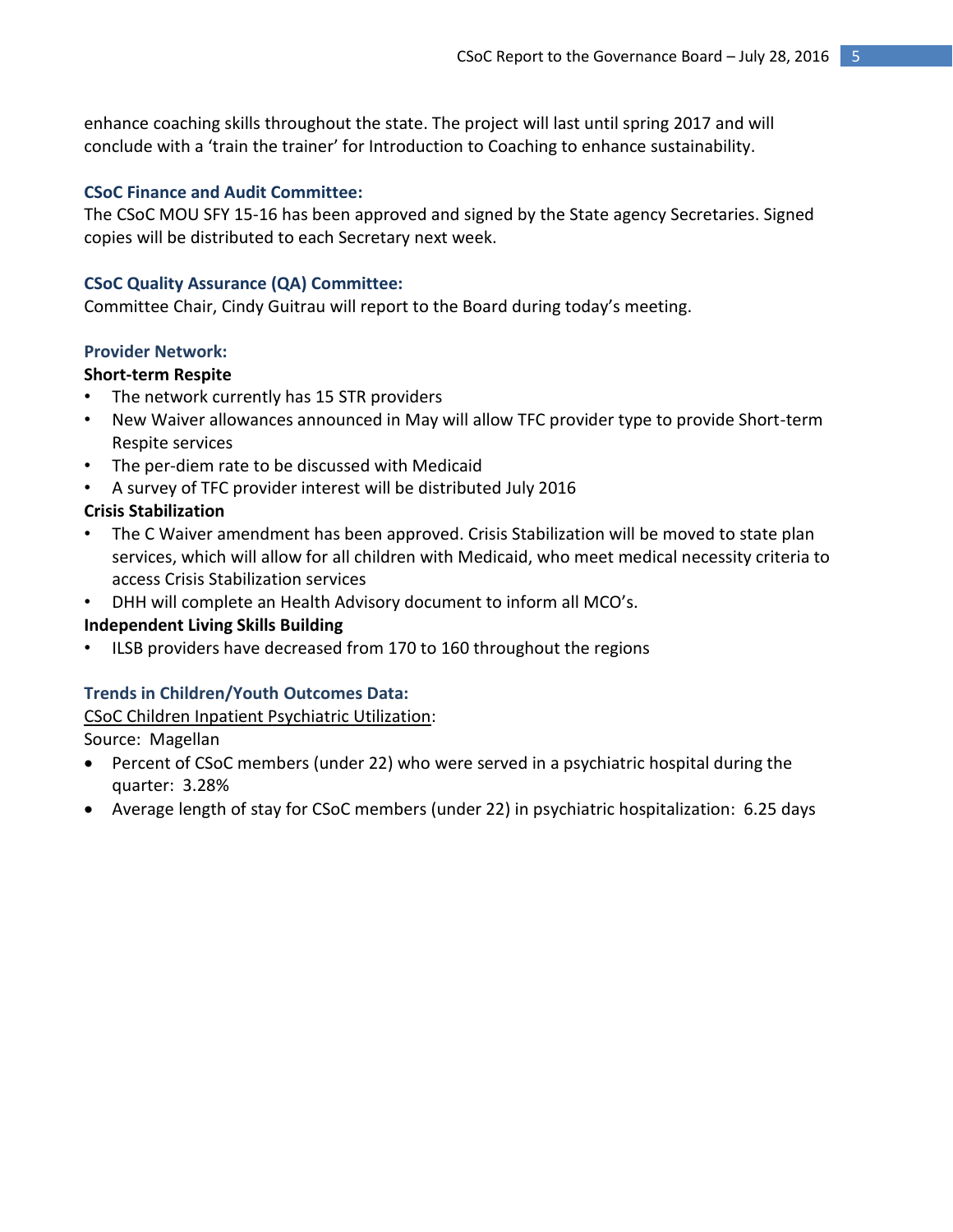enhance coaching skills throughout the state. The project will last until spring 2017 and will conclude with a 'train the trainer' for Introduction to Coaching to enhance sustainability.

#### **CSoC Finance and Audit Committee:**

The CSoC MOU SFY 15-16 has been approved and signed by the State agency Secretaries. Signed copies will be distributed to each Secretary next week.

#### **CSoC Quality Assurance (QA) Committee:**

Committee Chair, Cindy Guitrau will report to the Board during today's meeting.

#### **Provider Network:**

#### **Short-term Respite**

- The network currently has 15 STR providers
- New Waiver allowances announced in May will allow TFC provider type to provide Short-term Respite services
- The per-diem rate to be discussed with Medicaid
- A survey of TFC provider interest will be distributed July 2016

#### **Crisis Stabilization**

- The C Waiver amendment has been approved. Crisis Stabilization will be moved to state plan services, which will allow for all children with Medicaid, who meet medical necessity criteria to access Crisis Stabilization services
- DHH will complete an Health Advisory document to inform all MCO's.

#### **Independent Living Skills Building**

ILSB providers have decreased from 170 to 160 throughout the regions

#### **Trends in Children/Youth Outcomes Data:**

CSoC Children Inpatient Psychiatric Utilization:

Source: Magellan

- Percent of CSoC members (under 22) who were served in a psychiatric hospital during the quarter: 3.28%
- Average length of stay for CSoC members (under 22) in psychiatric hospitalization: 6.25 days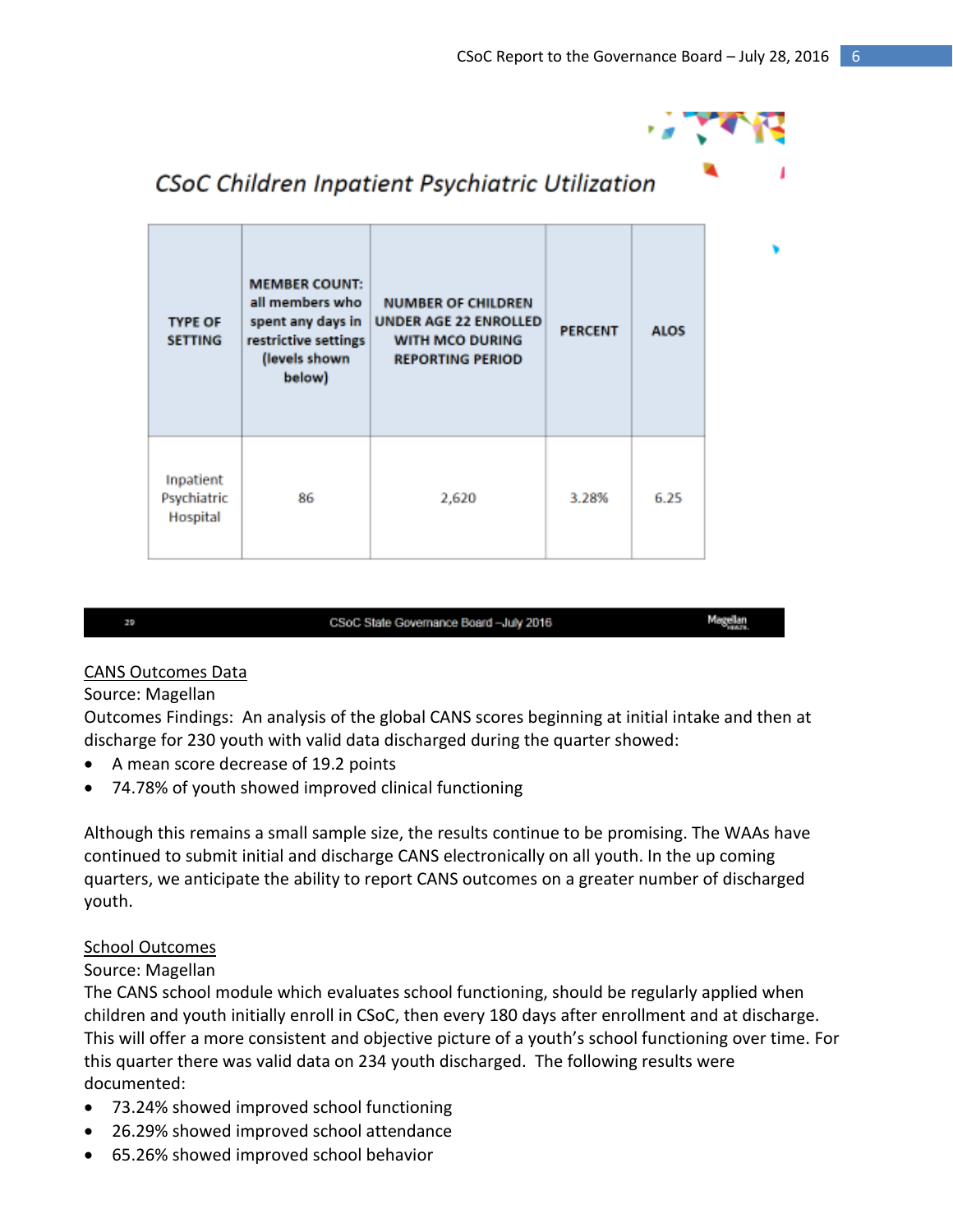

#### **MEMBER COUNT:** all members who **NUMBER OF CHILDREN UNDER AGE 22 ENROLLED TYPE OF** spent any days in **PERCENT ALOS SETTING** restrictive settings WITH MCO DURING **REPORTING PERIOD** (levels shown below) Inpatient 3.28% 6.25 Psychiatric 86 2,620 Hospital

## CSoC Children Inpatient Psychiatric Utilization

#### CSoC State Governance Board-July 2016

Magellan<br>Magellan

#### CANS Outcomes Data

#### Source: Magellan

29

Outcomes Findings: An analysis of the global CANS scores beginning at initial intake and then at discharge for 230 youth with valid data discharged during the quarter showed:

- A mean score decrease of 19.2 points
- 74.78% of youth showed improved clinical functioning

Although this remains a small sample size, the results continue to be promising. The WAAs have continued to submit initial and discharge CANS electronically on all youth. In the up coming quarters, we anticipate the ability to report CANS outcomes on a greater number of discharged youth.

### School Outcomes

#### Source: Magellan

The CANS school module which evaluates school functioning, should be regularly applied when children and youth initially enroll in CSoC, then every 180 days after enrollment and at discharge. This will offer a more consistent and objective picture of a youth's school functioning over time. For this quarter there was valid data on 234 youth discharged. The following results were documented:

- 73.24% showed improved school functioning
- 26.29% showed improved school attendance
- 65.26% showed improved school behavior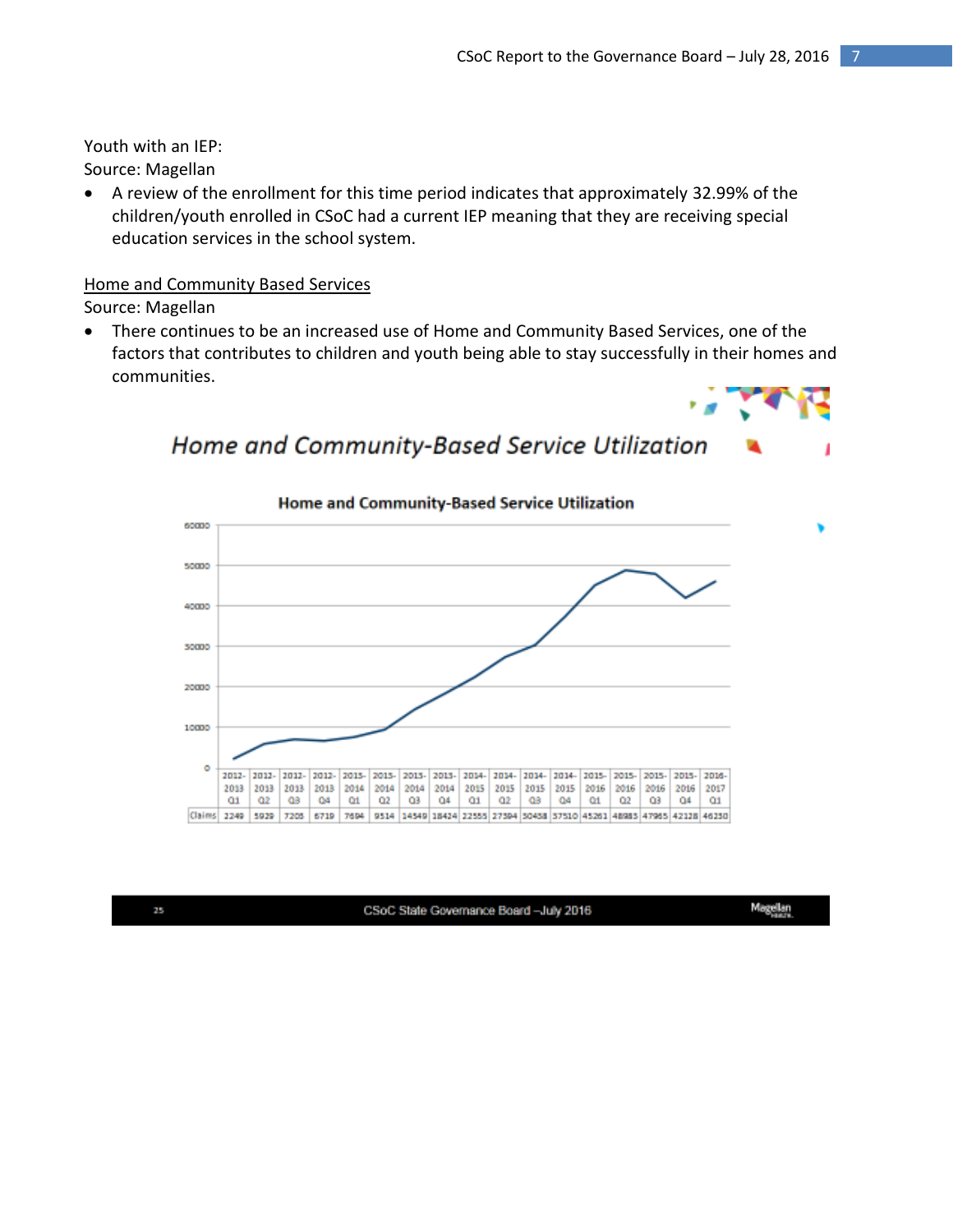Youth with an IEP: Source: Magellan

 A review of the enrollment for this time period indicates that approximately 32.99% of the children/youth enrolled in CSoC had a current IEP meaning that they are receiving special education services in the school system.

## Home and Community Based Services

Source: Magellan

 There continues to be an increased use of Home and Community Based Services, one of the factors that contributes to children and youth being able to stay successfully in their homes and communities.

Home and Community-Based Service Utilization



#### Home and Community-Based Service Utilization 60000 50000 40000 50000 20000 10000 ō 2012-2012-2012-2012-2015-2015-2015- 2015- 2014- 2014- 2014- 2014- 2015- 2015-2015-2015-2016-2013 2013 2013 2013 2014 2014 2014 2014 2015 2015 2015 2015 2016 2016 2016 2017 2016  $Q1$  $Q2$ QB  $Q<sub>d</sub>$  $Q_1$  $\alpha$  $Q3$  $Q4$  $Q1$  $Q2$  $08$  $Q4$ Q1  $Q2$  $Q<sub>3</sub>$  $Q4$  $_{01}$ Claims 2249 5929 7205 6719 7694 9514 14549 16424 22555 27594 50438 57510 45261 46985 47985 42128 46230

25

CSoC State Governance Board -July 2016

Magellan